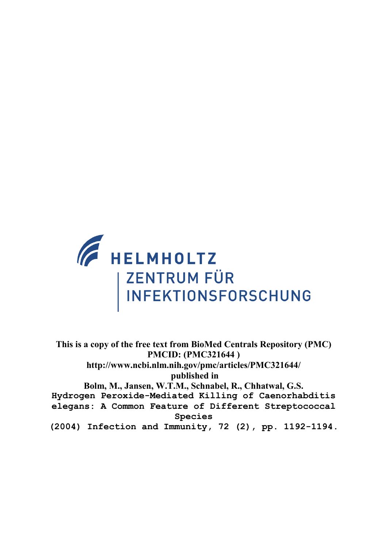

**This is a copy of the free text from BioMed Centrals Repository (PMC) PMCID: (PMC321644 ) http://www.ncbi.nlm.nih.gov/pmc/articles/PMC321644/ published in Bolm, M., Jansen, W.T.M., Schnabel, R., Chhatwal, G.S. Hydrogen Peroxide-Mediated Killing of Caenorhabditis elegans: A Common Feature of Different Streptococcal Species (2004) Infection and Immunity, 72 (2), pp. 1192-1194.**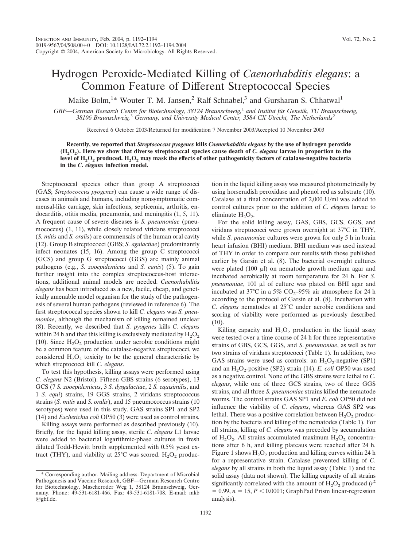## Hydrogen Peroxide-Mediated Killing of *Caenorhabditis elegans*: a Common Feature of Different Streptococcal Species

Maike Bolm,<sup>1\*</sup> Wouter T. M. Jansen,<sup>2</sup> Ralf Schnabel,<sup>3</sup> and Gursharan S. Chhatwal<sup>1</sup>

*GBF—German Research Centre for Biotechnology, 38124 Braunschweig,*<sup>1</sup> *and Institut fu¨r Genetik, TU Braunschweig, 38106 Braunschweig,*<sup>3</sup> *Germany, and University Medical Center, 3584 CX Utrecht, The Netherlands*<sup>2</sup>

Received 6 October 2003/Returned for modification 7 November 2003/Accepted 10 November 2003

**Recently, we reported that** *Streptococcus pyogenes* **kills** *Caenorhabditis elegans* **by the use of hydrogen peroxide (H2O2). Here we show that diverse streptococcal species cause death of** *C. elegans* **larvae in proportion to the level of H2O2 produced. H2O2 may mask the effects of other pathogenicity factors of catalase-negative bacteria in the** *C. elegans* **infection model.**

Streptococcal species other than group A streptococci (GAS; *Streptococcus pyogenes*) can cause a wide range of diseases in animals and humans, including nonsymptomatic commensal-like carriage, skin infections, septicemia, arthritis, endocarditis, otitis media, pneumonia, and meningitis (1, 5, 11). A frequent cause of severe diseases is *S. pneumoniae* (pneumococcus) (1, 11), while closely related viridans streptococci (*S. mitis* and *S. oralis*) are commensals of the human oral cavity (12). Group B streptococci (GBS; *S. agalactiae*) predominantly infect neonates (15, 16). Among the group C streptococci (GCS) and group G streptococci (GGS) are mainly animal pathogens (e.g., *S. zooepidemicus* and *S. canis*) (5). To gain further insight into the complex streptococcus-host interactions, additional animal models are needed. *Caenorhabditis elegans* has been introduced as a new, facile, cheap, and genetically amenable model organism for the study of the pathogenesis of several human pathogens (reviewed in reference 6). The first streptococcal species shown to kill *C. elegans* was *S. pneumoniae*, although the mechanism of killing remained unclear (8). Recently, we described that *S. pyogenes* kills *C. elegans* within 24 h and that this killing is exclusively mediated by  $H_2O_2$ (10). Since  $H_2O_2$  production under aerobic conditions might be a common feature of the catalase-negative streptococci, we considered  $H_2O_2$  toxicity to be the general characteristic by which streptococci kill *C. elegans*.

To test this hypothesis, killing assays were performed using *C. elegans* N2 (Bristol). Fifteen GBS strains (6 serotypes), 13 GCS (7 *S. zooepidemicus*, 3 *S. dysgalactiae*, 2 *S. equisimilis*, and 1 *S. equi*) strains, 19 GGS strains, 2 viridans streptococcus strains (*S. mitis* and *S. oralis*), and 15 pneumococcus strains (10 serotypes) were used in this study. GAS strains SP1 and SP2 (14) and *Escherichia coli* OP50 (3) were used as control strains.

Killing assays were performed as described previously (10). Briefly, for the liquid killing assay, sterile *C. elegans* L1 larvae were added to bacterial logarithmic-phase cultures in fresh diluted Todd-Hewitt broth supplemented with 0.5% yeast extract (THY), and viability at  $25^{\circ}$ C was scored. H<sub>2</sub>O<sub>2</sub> production in the liquid killing assay was measured photometrically by using horseradish peroxidase and phenol red as substrate (10). Catalase at a final concentration of 2,000 U/ml was added to control cultures prior to the addition of *C. elegans* larvae to eliminate  $H_2O_2$ .

For the solid killing assay, GAS, GBS, GCS, GGS, and viridans streptococci were grown overnight at 37°C in THY, while *S. pneumoniae* cultures were grown for only 5 h in brain heart infusion (BHI) medium. BHI medium was used instead of THY in order to compare our results with those published earlier by Garsin et al. (8). The bacterial overnight cultures were plated  $(100 \mu l)$  on nematode growth medium agar and incubated aerobically at room temperature for 24 h. For *S.* pneumoniae, 100 µl of culture was plated on BHI agar and incubated at 37°C in a 5%  $CO<sub>2</sub>$ -95% air atmosphere for 24 h according to the protocol of Garsin et al. (8). Incubation with *C. elegans* nematodes at 25°C under aerobic conditions and scoring of viability were performed as previously described  $(10).$ 

Killing capacity and  $H_2O_2$  production in the liquid assay were tested over a time course of 24 h for three representative strains of GBS, GCS, GGS, and *S*. *pneumoniae*, as well as for two strains of viridans streptococci (Table 1). In addition, two GAS strains were used as controls: an  $H_2O_2$ -negative (SP1) and an H<sub>2</sub>O<sub>2</sub>-positive (SP2) strain (14). *E. coli* OP50 was used as a negative control. None of the GBS strains were lethal to *C. elegans*, while one of three GCS strains, two of three GGS strains, and all three *S. pneumoniae* strains killed the nematode worms. The control strains GAS SP1 and *E. coli* OP50 did not influence the viability of *C. elegans*, whereas GAS SP2 was lethal. There was a positive correlation between  $H_2O_2$  production by the bacteria and killing of the nematodes (Table 1). For all strains, killing of *C. elegans* was preceded by accumulation of H<sub>2</sub>O<sub>2</sub>. All strains accumulated maximum  $H_2O_2$  concentrations after 6 h, and killing plateaus were reached after 24 h. Figure 1 shows  $H_2O_2$  production and killing curves within 24 h for a representative strain. Catalase prevented killing of *C. elegans* by all strains in both the liquid assay (Table 1) and the solid assay (data not shown). The killing capacity of all strains significantly correlated with the amount of  $H_2O_2$  produced ( $r^2$ )  $= 0.99$ ,  $n = 15$ ,  $P < 0.0001$ ; GraphPad Prism linear-regression analysis).

<sup>\*</sup> Corresponding author. Mailing address: Department of Microbial Pathogenesis and Vaccine Research, GBF—German Research Centre for Biotechnology, Mascheroder Weg 1, 38124 Braunschweig, Germany. Phone: 49-531-6181-466. Fax: 49-531-6181-708. E-mail: mkb @gbf.de.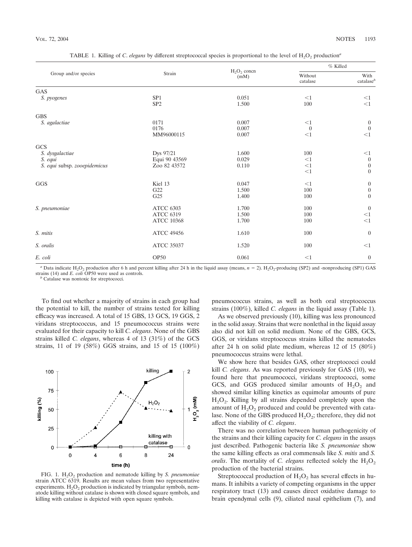| Group and/or species         | Strain                             | $H_2O_2$ concn<br>(mM)  | % Killed                    |                                               |
|------------------------------|------------------------------------|-------------------------|-----------------------------|-----------------------------------------------|
|                              |                                    |                         | Without<br>catalase         | With<br>catalaseb                             |
| GAS                          |                                    |                         |                             |                                               |
| S. pyogenes                  | SP <sub>1</sub><br>SP <sub>2</sub> | 0.051<br>1.500          | $<$ 1<br>100                | $<$ 1<br>$<$ 1                                |
| <b>GBS</b>                   |                                    |                         |                             |                                               |
| S. agalactiae                | 0171<br>0176<br>MM96000115         | 0.007<br>0.007<br>0.007 | <1<br>$\mathbf{0}$<br>$<$ 1 | $\boldsymbol{0}$<br>$\boldsymbol{0}$<br>$<$ 1 |
| GCS                          |                                    |                         |                             |                                               |
| S. dysgalactiae              | Dys 97/21                          | 1.600                   | 100                         | <1                                            |
| S. equi                      | Equi 90 43569                      | 0.029                   | <1                          | $\boldsymbol{0}$                              |
| S. equi subsp. zooepidemicus | Zoo 82 43572                       | 0.110                   | <1<br><1                    | $\boldsymbol{0}$<br>$\boldsymbol{0}$          |
|                              |                                    |                         |                             |                                               |
| GGS                          | Kiel 13                            | 0.047                   | $<$ 1                       | $\boldsymbol{0}$                              |
|                              | G22                                | 1.500                   | $100\,$                     | $\boldsymbol{0}$                              |
|                              | G <sub>25</sub>                    | 1.400                   | 100                         | $\theta$                                      |
| S. pneumoniae                | <b>ATCC 6303</b>                   | 1.700                   | 100                         | $\boldsymbol{0}$                              |
|                              | <b>ATCC 6319</b>                   | 1.500                   | 100                         | <1                                            |
|                              | <b>ATCC 10368</b>                  | 1.700                   | 100                         | $<$ 1                                         |
| S. mitis                     | <b>ATCC 49456</b>                  | 1.610                   | 100                         | $\mathbf{0}$                                  |
| S. oralis                    | <b>ATCC 35037</b>                  | 1.520                   | 100                         | <1                                            |
| E. coli                      | OP <sub>50</sub>                   | 0.061                   | $<$ 1                       | $\boldsymbol{0}$                              |

TABLE 1. Killing of *C. elegans* by different streptococcal species is proportional to the level of  $H_2O_2$  production<sup>*a*</sup>

*a* Data indicate H<sub>2</sub>O<sub>2</sub> production after 6 h and percent killing after 24 h in the liquid assay (means, *n* = 2). H<sub>2</sub>O<sub>2</sub>-producing (SP2) and -nonproducing (SP1) GAS strains (14) and *E. coli* OP50 were used as controls. *<sup>b</sup>* Catalase was nontoxic for streptococci.

To find out whether a majority of strains in each group had the potential to kill, the number of strains tested for killing efficacy was increased. A total of 15 GBS, 13 GCS, 19 GGS, 2 viridans streptococcus, and 15 pneumococcus strains were evaluated for their capacity to kill *C. elegans*. None of the GBS strains killed *C. elegans*, whereas 4 of 13 (31%) of the GCS strains, 11 of 19 (58%) GGS strains, and 15 of 15 (100%)



FIG. 1. H<sub>2</sub>O<sub>2</sub> production and nematode killing by *S. pneumoniae* strain ATCC 6319. Results are mean values from two representative experiments.  $H_2O_2$  production is indicated by triangular symbols, nematode killing without catalase is shown with closed square symbols, and killing with catalase is depicted with open square symbols.

pneumococcus strains, as well as both oral streptococcus strains (100%), killed *C. elegans* in the liquid assay (Table 1).

As we observed previously (10), killing was less pronounced in the solid assay. Strains that were nonlethal in the liquid assay also did not kill on solid medium. None of the GBS, GCS, GGS, or viridans streptococcus strains killed the nematodes after 24 h on solid plate medium, whereas 12 of 15 (80%) pneumococcus strains were lethal.

We show here that besides GAS, other streptococci could kill *C. elegans*. As was reported previously for GAS (10), we found here that pneumococci, viridans streptococci, some GCS, and GGS produced similar amounts of  $H_2O_2$  and showed similar killing kinetics as equimolar amounts of pure  $H<sub>2</sub>O<sub>2</sub>$ . Killing by all strains depended completely upon the amount of  $H_2O_2$  produced and could be prevented with catalase. None of the GBS produced  $H_2O_2$ ; therefore, they did not affect the viability of *C. elegans*.

There was no correlation between human pathogenicity of the strains and their killing capacity for *C. elegans* in the assays just described. Pathogenic bacteria like *S. pneumoniae* show the same killing effects as oral commensals like *S. mitis* and *S. oralis*. The mortality of *C. elegans* reflected solely the  $H_2O_2$ production of the bacterial strains.

Streptococcal production of  $H<sub>2</sub>O<sub>2</sub>$  has several effects in humans. It inhibits a variety of competing organisms in the upper respiratory tract (13) and causes direct oxidative damage to brain ependymal cells (9), ciliated nasal epithelium (7), and